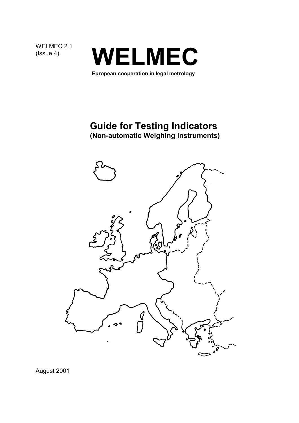WELMEC 2.1<br>(Issue 4)



**European cooperation in legal metrology**

# **Guide for Testing Indicators**

**(Non-automatic Weighing Instruments)**



August 2001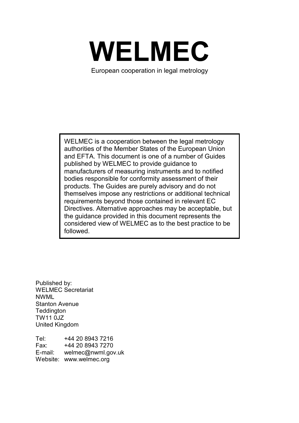

European cooperation in legal metrology

WELMEC is a cooperation between the legal metrology authorities of the Member States of the European Union and EFTA. This document is one of a number of Guides published by WELMEC to provide guidance to manufacturers of measuring instruments and to notified bodies responsible for conformity assessment of their products. The Guides are purely advisory and do not themselves impose any restrictions or additional technical requirements beyond those contained in relevant EC Directives. Alternative approaches may be acceptable, but the guidance provided in this document represents the considered view of WELMEC as to the best practice to be followed.

Published by: WELMEC Secretariat NWML Stanton Avenue **Teddington** TW11 0JZ United Kingdom

Tel: +44 20 8943 7216 Fax: +44 20 8943 7270<br>E-mail: welmec@nwml.gov welmec@nwml.gov.uk Website: www.welmec.org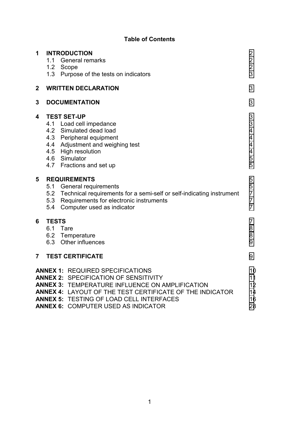### **Table of Contents**

| 1                | <b>INTRODUCTION</b><br>1.1<br><b>General remarks</b><br>1.2<br>Scope<br>1.3 Purpose of the tests on indicators                                                                                                                                                 | 2<br>$\overline{2}$<br>$\overline{2}$<br>3                   |
|------------------|----------------------------------------------------------------------------------------------------------------------------------------------------------------------------------------------------------------------------------------------------------------|--------------------------------------------------------------|
| $\boldsymbol{2}$ | <b>WRITTEN DECLARATION</b>                                                                                                                                                                                                                                     | 3                                                            |
| 3                | <b>DOCUMENTATION</b>                                                                                                                                                                                                                                           | 3                                                            |
| 4                | <b>TEST SET-UP</b><br>4.1 Load cell impedance<br>4.2 Simulated dead load<br>4.3 Peripheral equipment<br>4.4 Adjustment and weighing test<br>4.5 High resolution<br>4.6 Simulator<br>4.7 Fractions and set up                                                   | 3<br>3<br>4<br>4<br>4<br>4<br>5<br>5                         |
| 5                | <b>REQUIREMENTS</b><br>5.1<br>General requirements<br>5.2 Technical requirements for a semi-self or self-indicating instrument<br>5.3<br>Requirements for electronic instruments<br>Computer used as indicator<br>5.4                                          | 5<br>5<br>$\overline{7}$<br>$\overline{7}$<br>$\overline{7}$ |
| 6                | <b>TESTS</b><br>6.1<br>Tare<br>6.2 Temperature<br>Other influences<br>6.3                                                                                                                                                                                      | 7<br>8<br>8<br>9                                             |
| $\overline{7}$   | <b>TEST CERTIFICATE</b>                                                                                                                                                                                                                                        | 9                                                            |
|                  | <b>ANNEX 1: REQUIRED SPECIFICATIONS</b><br><b>ANNEX 2: SPECIFICATION OF SENSITIVITY</b><br>ANNEX 3: TEMPERATURE INFLUENCE ON AMPLIFICATION<br>ANNEX 4: LAYOUT OF THE TEST CERTIFICATE OF THE INDICATOR<br><b>ANNEX 5: TESTING OF LOAD CELL INTERFACES</b><br>. | 10<br>11<br>12<br>14<br>16<br>$\sim$ $\sim$                  |

**ANNEX 6:** COMPUTER USED AS INDICATOR [28](#page-29-0)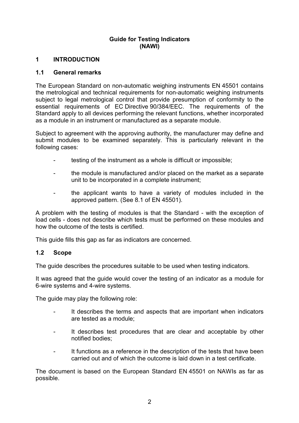### **Guide for Testing Indicators (NAWI)**

### <span id="page-3-0"></span>**1 INTRODUCTION**

### **1.1 General remarks**

The European Standard on non-automatic weighing instruments EN 45501 contains the metrological and technical requirements for non-automatic weighing instruments subject to legal metrological control that provide presumption of conformity to the essential requirements of EC Directive 90/384/EEC. The requirements of the Standard apply to all devices performing the relevant functions, whether incorporated as a module in an instrument or manufactured as a separate module.

Subject to agreement with the approving authority, the manufacturer may define and submit modules to be examined separately. This is particularly relevant in the following cases:

- testing of the instrument as a whole is difficult or impossible;
- the module is manufactured and/or placed on the market as a separate unit to be incorporated in a complete instrument;
- the applicant wants to have a variety of modules included in the approved pattern. (See 8.1 of EN 45501).

A problem with the testing of modules is that the Standard - with the exception of load cells - does not describe which tests must be performed on these modules and how the outcome of the tests is certified.

This guide fills this gap as far as indicators are concerned.

#### **1.2 Scope**

The guide describes the procedures suitable to be used when testing indicators.

It was agreed that the guide would cover the testing of an indicator as a module for 6-wire systems and 4-wire systems.

The guide may play the following role:

- It describes the terms and aspects that are important when indicators are tested as a module;
- It describes test procedures that are clear and acceptable by other notified bodies;
- It functions as a reference in the description of the tests that have been carried out and of which the outcome is laid down in a test certificate.

The document is based on the European Standard EN 45501 on NAWIs as far as possible.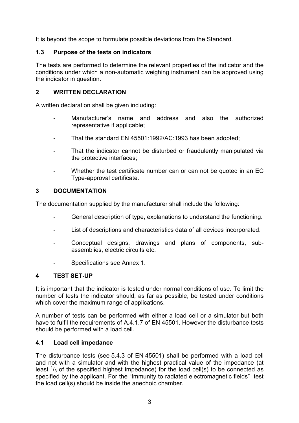<span id="page-4-0"></span>It is beyond the scope to formulate possible deviations from the Standard.

### **1.3 Purpose of the tests on indicators**

The tests are performed to determine the relevant properties of the indicator and the conditions under which a non-automatic weighing instrument can be approved using the indicator in question.

### **2 WRITTEN DECLARATION**

A written declaration shall be given including:

- Manufacturer's name and address and also the authorized representative if applicable;
- That the standard EN 45501:1992/AC:1993 has been adopted;
- That the indicator cannot be disturbed or fraudulently manipulated via the protective interfaces;
- Whether the test certificate number can or can not be quoted in an EC Type-approval certificate.

### **3 DOCUMENTATION**

The documentation supplied by the manufacturer shall include the following:

- General description of type, explanations to understand the functioning.
- List of descriptions and characteristics data of all devices incorporated.
- Conceptual designs, drawings and plans of components, subassemblies, electric circuits etc.
- Specifications see Annex 1.

### **4 TEST SET-UP**

It is important that the indicator is tested under normal conditions of use. To limit the number of tests the indicator should, as far as possible, be tested under conditions which cover the maximum range of applications.

A number of tests can be performed with either a load cell or a simulator but both have to fulfil the requirements of A.4.1.7 of EN 45501. However the disturbance tests should be performed with a load cell.

### **4.1 Load cell impedance**

The disturbance tests (see 5.4.3 of EN 45501) shall be performed with a load cell and not with a simulator and with the highest practical value of the impedance (at least  $\frac{1}{3}$  of the specified highest impedance) for the load cell(s) to be connected as specified by the applicant. For the "Immunity to radiated electromagnetic fields" test the load cell(s) should be inside the anechoic chamber.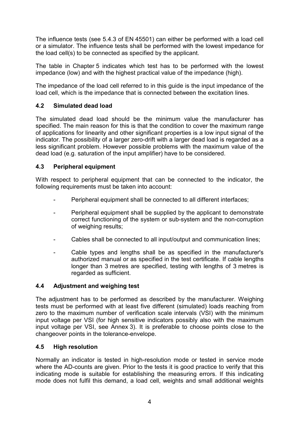<span id="page-5-0"></span>The influence tests (see 5.4.3 of EN 45501) can either be performed with a load cell or a simulator. The influence tests shall be performed with the lowest impedance for the load cell(s) to be connected as specified by the applicant.

The table in Chapter 5 indicates which test has to be performed with the lowest impedance (low) and with the highest practical value of the impedance (high).

The impedance of the load cell referred to in this guide is the input impedance of the load cell, which is the impedance that is connected between the excitation lines.

### **4.2 Simulated dead load**

The simulated dead load should be the minimum value the manufacturer has specified. The main reason for this is that the condition to cover the maximum range of applications for linearity and other significant properties is a low input signal of the indicator. The possibility of a larger zero-drift with a larger dead load is regarded as a less significant problem. However possible problems with the maximum value of the dead load (e.g. saturation of the input amplifier) have to be considered.

### **4.3 Peripheral equipment**

With respect to peripheral equipment that can be connected to the indicator, the following requirements must be taken into account:

- Peripheral equipment shall be connected to all different interfaces;
- Peripheral equipment shall be supplied by the applicant to demonstrate correct functioning of the system or sub-system and the non-corruption of weighing results;
- Cables shall be connected to all input/output and communication lines;
- Cable types and lengths shall be as specified in the manufacturer's authorized manual or as specified in the test certificate. If cable lengths longer than 3 metres are specified, testing with lengths of 3 metres is regarded as sufficient.

### **4.4 Adjustment and weighing test**

The adjustment has to be performed as described by the manufacturer. Weighing tests must be performed with at least five different (simulated) loads reaching from zero to the maximum number of verification scale intervals (VSI) with the minimum input voltage per VSI (for high sensitive indicators possibly also with the maximum input voltage per VSI, see Annex 3). It is preferable to choose points close to the changeover points in the tolerance-envelope.

### **4.5 High resolution**

Normally an indicator is tested in high-resolution mode or tested in service mode where the AD-counts are given. Prior to the tests it is good practice to verify that this indicating mode is suitable for establishing the measuring errors. If this indicating mode does not fulfil this demand, a load cell, weights and small additional weights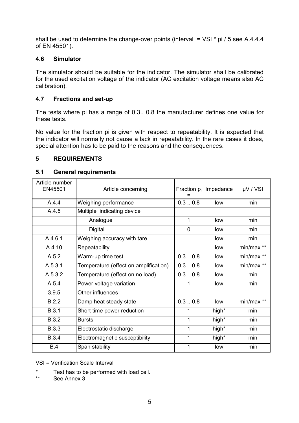<span id="page-6-0"></span>shall be used to determine the change-over points (interval  $=$  VSI  $*$  pi / 5 see A.4.4.4 of EN 45501).

### **4.6 Simulator**

The simulator should be suitable for the indicator. The simulator shall be calibrated for the used excitation voltage of the indicator (AC excitation voltage means also AC calibration).

### **4.7 Fractions and set-up**

The tests where pi has a range of 0.3.. 0.8 the manufacturer defines one value for these tests.

No value for the fraction pi is given with respect to repeatability. It is expected that the indicator will normally not cause a lack in repeatability. In the rare cases it does, special attention has to be paid to the reasons and the consequences.

### **5 REQUIREMENTS**

### **5.1 General requirements**

| Article number<br>EN45501 | Article concerning                    | Fraction $p_i$ | Impedance | $\mu$ V / VSI |
|---------------------------|---------------------------------------|----------------|-----------|---------------|
| A.4.4                     | Weighing performance                  | 0.30.8         | low       | min           |
| A.4.5                     | Multiple indicating device            |                |           |               |
|                           | Analogue                              | 1              | low       | min           |
|                           | <b>Digital</b>                        | 0              | low       | min           |
| A.4.6.1                   | Weighing accuracy with tare           |                | low       | min           |
| A.4.10                    | Repeatability                         |                | low       | min/max **    |
| A.5.2                     | Warm-up time test                     | 0.30.8         | low       | min/max **    |
| A.5.3.1                   | Temperature (effect on amplification) | 0.30.8         | low       | min/max **    |
| A.5.3.2                   | Temperature (effect on no load)       | 0.30.8         | low       | min           |
| A.5.4                     | Power voltage variation               |                | low       | min           |
| 3.9.5                     | Other influences                      |                |           |               |
| B.2.2                     | Damp heat steady state                | 0.30.8         | low       | min/max **    |
| B.3.1                     | Short time power reduction            |                | high*     | min           |
| <b>B.3.2</b>              | <b>Bursts</b>                         | 1              | high*     | min           |
| <b>B.3.3</b>              | Electrostatic discharge               | 1              | high*     | min           |
| <b>B.3.4</b>              | Electromagnetic susceptibility        | 1              | high*     | min           |
| B.4                       | Span stability                        |                | low       | min           |

VSI = Verification Scale Interval

- \* Test has to be performed with load cell.<br>\*\* See Anney 3
- See Annex 3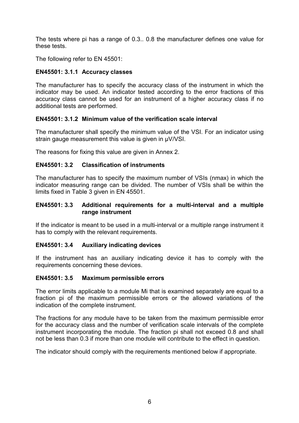The tests where pi has a range of 0.3.. 0.8 the manufacturer defines one value for these tests.

The following refer to EN 45501:

### **EN45501: 3.1.1 Accuracy classes**

The manufacturer has to specify the accuracy class of the instrument in which the indicator may be used. An indicator tested according to the error fractions of this accuracy class cannot be used for an instrument of a higher accuracy class if no additional tests are performed.

### **EN45501: 3.1.2 Minimum value of the verification scale interval**

The manufacturer shall specify the minimum value of the VSI. For an indicator using strain gauge measurement this value is given in µV/VSI.

The reasons for fixing this value are given in Annex 2.

### **EN45501: 3.2 Classification of instruments**

The manufacturer has to specify the maximum number of VSIs (nmax) in which the indicator measuring range can be divided. The number of VSIs shall be within the limits fixed in Table 3 given in EN 45501.

#### **EN45501: 3.3 Additional requirements for a multi-interval and a multiple range instrument**

If the indicator is meant to be used in a multi-interval or a multiple range instrument it has to comply with the relevant requirements.

#### **EN45501: 3.4 Auxiliary indicating devices**

If the instrument has an auxiliary indicating device it has to comply with the requirements concerning these devices.

#### **EN45501: 3.5 Maximum permissible errors**

The error limits applicable to a module Mi that is examined separately are equal to a fraction pi of the maximum permissible errors or the allowed variations of the indication of the complete instrument.

The fractions for any module have to be taken from the maximum permissible error for the accuracy class and the number of verification scale intervals of the complete instrument incorporating the module. The fraction pi shall not exceed 0.8 and shall not be less than 0.3 if more than one module will contribute to the effect in question.

The indicator should comply with the requirements mentioned below if appropriate.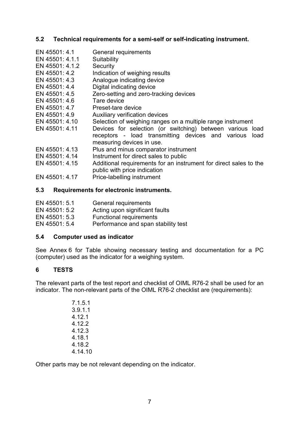### <span id="page-8-0"></span>**5.2 Technical requirements for a semi-self or self-indicating instrument.**

- EN 45501: 4.1 General requirements
- EN 45501: 4.1.1 Suitability
- EN 45501: 4.1.2 Security
- EN 45501: 4.2 Indication of weighing results
- EN 45501: 4.3 Analogue indicating device
- EN 45501: 4.4 Digital indicating device
- EN 45501: 4.5 Zero-setting and zero-tracking devices
- EN 45501: 4.6 Tare device
- EN 45501: 4.7 Preset-tare device
- EN 45501: 4.9 Auxiliary verification devices
- EN 45501: 4.10 Selection of weighing ranges on a multiple range instrument
- EN 45501: 4.11 Devices for selection (or switching) between various load receptors - load transmitting devices and various load measuring devices in use.
- EN 45501: 4.13 Plus and minus comparator instrument
- EN 45501: 4.14 Instrument for direct sales to public
- EN 45501: 4.15 Additional requirements for an instrument for direct sales to the public with price indication
- EN 45501: 4.17 Price-labelling instrument

### **5.3 Requirements for electronic instruments.**

- EN 45501: 5.1 General requirements
- EN 45501: 5.2 Acting upon significant faults
- EN 45501: 5.3 Functional requirements
- EN 45501: 5.4 Performance and span stability test

### **5.4 Computer used as indicator**

See Annex 6 for Table showing necessary testing and documentation for a PC (computer) used as the indicator for a weighing system.

### **6 TESTS**

The relevant parts of the test report and checklist of OIML R76-2 shall be used for an indicator. The non-relevant parts of the OIML R76-2 checklist are (requirements):

> 7.1.5.1 3.9.1.1 4.12.1 4.12.2 4.12.3 4.18.1 4.18.2 4.14.10

Other parts may be not relevant depending on the indicator.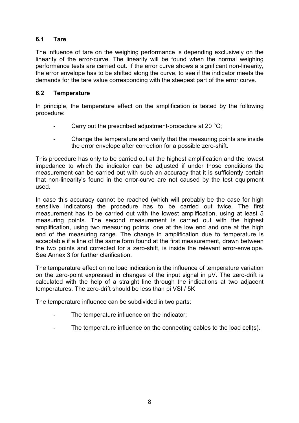### <span id="page-9-0"></span>**6.1 Tare**

The influence of tare on the weighing performance is depending exclusively on the linearity of the error-curve. The linearity will be found when the normal weighing performance tests are carried out. If the error curve shows a significant non-linearity, the error envelope has to be shifted along the curve, to see if the indicator meets the demands for the tare value corresponding with the steepest part of the error curve.

### **6.2 Temperature**

In principle, the temperature effect on the amplification is tested by the following procedure:

- Carry out the prescribed adjustment-procedure at 20 °C;
- Change the temperature and verify that the measuring points are inside the error envelope after correction for a possible zero-shift.

This procedure has only to be carried out at the highest amplification and the lowest impedance to which the indicator can be adjusted if under those conditions the measurement can be carried out with such an accuracy that it is sufficiently certain that non-linearity's found in the error-curve are not caused by the test equipment used.

In case this accuracy cannot be reached (which will probably be the case for high sensitive indicators) the procedure has to be carried out twice. The first measurement has to be carried out with the lowest amplification, using at least 5 measuring points. The second measurement is carried out with the highest amplification, using two measuring points, one at the low end and one at the high end of the measuring range. The change in amplification due to temperature is acceptable if a line of the same form found at the first measurement, drawn between the two points and corrected for a zero-shift, is inside the relevant error-envelope. See Annex 3 for further clarification.

The temperature effect on no load indication is the influence of temperature variation on the zero-point expressed in changes of the input signal in µV. The zero-drift is calculated with the help of a straight line through the indications at two adjacent temperatures. The zero-drift should be less than pi VSI / 5K

The temperature influence can be subdivided in two parts:

- The temperature influence on the indicator;
- The temperature influence on the connecting cables to the load cell(s).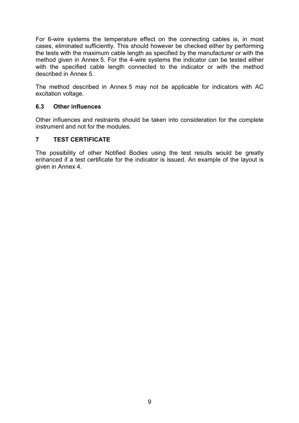<span id="page-10-0"></span>For 6-wire systems the temperature effect on the connecting cables is, in most cases, eliminated sufficiently. This should however be checked either by performing the tests with the maximum cable length as specified by the manufacturer or with the method given in Annex 5. For the 4-wire systems the indicator can be tested either with the specified cable length connected to the indicator or with the method described in Annex 5.

The method described in Annex 5 may not be applicable for indicators with AC excitation voltage.

### **6.3 Other influences**

Other influences and restraints should be taken into consideration for the complete instrument and not for the modules.

### **7 TEST CERTIFICATE**

The possibility of other Notified Bodies using the test results would be greatly enhanced if a test certificate for the indicator is issued. An example of the layout is given in Annex 4.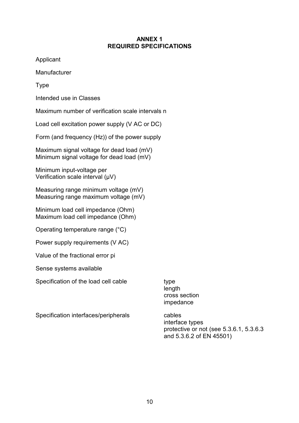#### **ANNEX 1 REQUIRED SPECIFICATIONS**

<span id="page-11-0"></span>Applicant

**Manufacturer** 

Type

Intended use in Classes

Maximum number of verification scale intervals n

Load cell excitation power supply (V AC or DC)

Form (and frequency (Hz)) of the power supply

Maximum signal voltage for dead load (mV) Minimum signal voltage for dead load (mV)

Minimum input-voltage per Verification scale interval (µV)

Measuring range minimum voltage (mV) Measuring range maximum voltage (mV)

Minimum load cell impedance (Ohm) Maximum load cell impedance (Ohm)

Operating temperature range (°C)

Power supply requirements (V AC)

Value of the fractional error pi

Sense systems available

Specification of the load cell cable type

length cross section impedance

Specification interfaces/peripherals cables

interface types protective or not (see 5.3.6.1, 5.3.6.3 and 5.3.6.2 of EN 45501)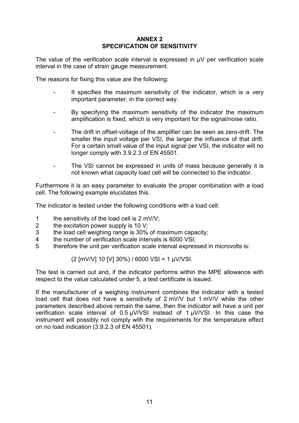#### **ANNEX 2 SPECIFICATION OF SENSITIVITY**

<span id="page-12-0"></span>The value of the verification scale interval is expressed in  $\mu$ V per verification scale interval in the case of strain gauge measurement.

The reasons for fixing this value are the following:

- It specifies the maximum sensitivity of the indicator, which is a very important parameter, in the correct way.
- By specifying the maximum sensitivity of the indicator the maximum amplification is fixed, which is very important for the signal/noise ratio.
- The drift in offset-voltage of the amplifier can be seen as zero-drift. The smaller the input voltage per VSI, the larger the influence of that drift. For a certain small value of the input signal per VSI, the indicator will no longer comply with 3.9.2.3 of EN 45501.
- The VSI cannot be expressed in units of mass because generally it is not known what capacity load cell will be connected to the indicator.

Furthermore it is an easy parameter to evaluate the proper combination with a load cell. The following example elucidates this.

The indicator is tested under the following conditions with a load cell:

- 1 the sensitivity of the load cell is 2 mV/V;
- 2 the excitation power supply is 10 V;
- 3 the load cell weighing range is 30% of maximum capacity;
- 4 the number of verification scale intervals is 6000 VSI;
- 5 therefore the unit per verification scale interval expressed in microvolts is:

(2 [mV/V] 10 [V] 30%) / 6000 VSI = 1 µV/VSI.

The test is carried out and, if the indicator performs within the MPE allowance with respect to the value calculated under 5, a test certificate is issued.

If the manufacturer of a weighing instrument combines the indicator with a tested load cell that does not have a sensitivity of 2 mV/V but 1 mV/V while the other parameters described above remain the same, then the indicator will have a unit per verification scale interval of 0.5 µV/VSI instead of 1 µV/VSI. In this case the instrument will possibly not comply with the requirements for the temperature effect on no load indication (3.9.2.3 of EN 45501).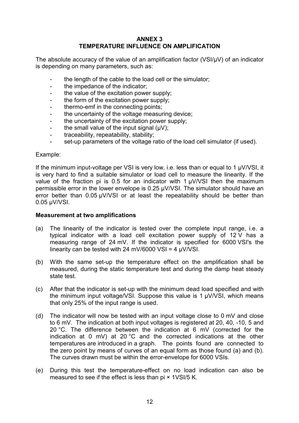#### **ANNEX 3 TEMPERATURE INFLUENCE ON AMPLIFICATION**

<span id="page-13-0"></span>The absolute accuracy of the value of an amplification factor (VSI/µV) of an indicator is depending on many parameters, such as:

- the length of the cable to the load cell or the simulator;
- the impedance of the indicator;
- the value of the excitation power supply;
- the form of the excitation power supply:
- thermo-emf in the connecting points;
- the uncertainty of the voltage measuring device;
- the uncertainty of the excitation power supply:
- the small value of the input signal  $(uV)$ ;
- traceability, repeatability, stability;
- set-up parameters of the voltage ratio of the load cell simulator (if used).

#### Example:

If the minimum input-voltage per VSI is very low, i.e. less than or equal to 1 µV/VSI, it is very hard to find a suitable simulator or load cell to measure the linearity. If the value of the fraction pi is 0.5 for an indicator with 1  $\mu$ V/VSI then the maximum permissible error in the lower envelope is 0.25 µV/VSI. The simulator should have an error better than 0.05 µV/VSI or at least the repeatability should be better than 0.05 µV/VSI.

#### **Measurement at two amplifications**

- (a) The linearity of the indicator is tested over the complete input range, i.e. a typical indicator with a load cell excitation power supply of 12 V has a measuring range of 24 mV. If the indicator is specified for 6000 VSI's the linearity can be tested with 24 mV/6000 VSI =  $4 \mu$ V/VSI.
- (b) With the same set-up the temperature effect on the amplification shall be measured, during the static temperature test and during the damp heat steady state test.
- (c) After that the indicator is set-up with the minimum dead load specified and with the minimum input voltage/VSI. Suppose this value is 1 µV/VSI, which means that only 25% of the input range is used.
- (d) The indicator will now be tested with an input voltage close to 0 mV and close to 6 mV. The indication at both input voltages is registered at 20, 40, -10, 5 and 20 °C. The difference between the indication at 6 mV (corrected for the indication at 0 mV) at 20 °C and the corrected indications at the other temperatures are introduced in a graph. The points found are connected to the zero point by means of curves of an equal form as those found (a) and (b). The curves drawn must be within the error-envelope for 6000 VSIs.
- (e) During this test the temperature-effect on no load indication can also be measured to see if the effect is less than pi × 1VSI/5 K.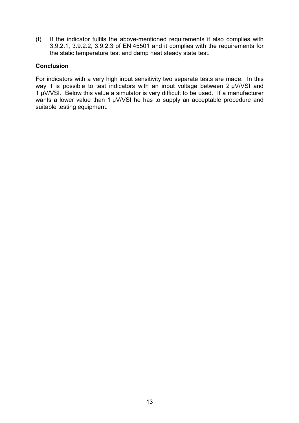(f) If the indicator fulfils the above-mentioned requirements it also complies with 3.9.2.1, 3.9.2.2, 3.9.2.3 of EN 45501 and it complies with the requirements for the static temperature test and damp heat steady state test.

### **Conclusion**

For indicators with a very high input sensitivity two separate tests are made. In this way it is possible to test indicators with an input voltage between 2 µV/VSI and 1 µV/VSI. Below this value a simulator is very difficult to be used. If a manufacturer wants a lower value than 1 µV/VSI he has to supply an acceptable procedure and suitable testing equipment.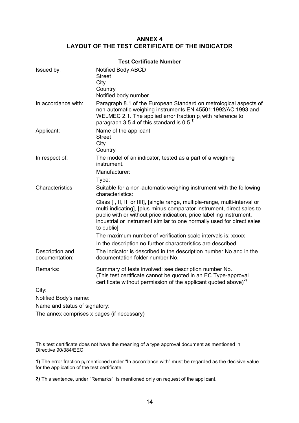#### **ANNEX 4 LAYOUT OF THE TEST CERTIFICATE OF THE INDICATOR**

<span id="page-15-0"></span>

|                                   | <b>Test Certificate Number</b>                                                                                                                                                                                                                                                                                                                                                                                                                                                                                                                  |
|-----------------------------------|-------------------------------------------------------------------------------------------------------------------------------------------------------------------------------------------------------------------------------------------------------------------------------------------------------------------------------------------------------------------------------------------------------------------------------------------------------------------------------------------------------------------------------------------------|
| Issued by:                        | Notified Body ABCD<br><b>Street</b><br>City<br>Country<br>Notified body number                                                                                                                                                                                                                                                                                                                                                                                                                                                                  |
| In accordance with:               | Paragraph 8.1 of the European Standard on metrological aspects of<br>non-automatic weighing instruments EN 45501:1992/AC:1993 and<br>WELMEC 2.1. The applied error fraction $p_i$ with reference to<br>paragraph 3.5.4 of this standard is $0.5^{1}$                                                                                                                                                                                                                                                                                            |
| Applicant:                        | Name of the applicant<br><b>Street</b><br>City<br>Country                                                                                                                                                                                                                                                                                                                                                                                                                                                                                       |
| In respect of:                    | The model of an indicator, tested as a part of a weighing<br>instrument.<br>Manufacturer:<br>Type:                                                                                                                                                                                                                                                                                                                                                                                                                                              |
| Characteristics:                  | Suitable for a non-automatic weighing instrument with the following<br>characteristics:<br>Class [I, II, III or IIII], [single range, multiple-range, multi-interval or<br>multi-indicating], [plus-minus comparator instrument, direct sales to<br>public with or without price indication, price labelling instrument,<br>industrial or instrument similar to one normally used for direct sales<br>to public]<br>The maximum number of verification scale intervals is: xxxxx<br>In the description no further characteristics are described |
| Description and<br>documentation: | The indicator is described in the description number No and in the<br>documentation folder number No.                                                                                                                                                                                                                                                                                                                                                                                                                                           |
| Remarks:                          | Summary of tests involved: see description number No.<br>(This test certificate cannot be quoted in an EC Type-approval<br>certificate without permission of the applicant quoted above) <sup>2)</sup>                                                                                                                                                                                                                                                                                                                                          |
| City:                             |                                                                                                                                                                                                                                                                                                                                                                                                                                                                                                                                                 |
| Notified Body's name:             |                                                                                                                                                                                                                                                                                                                                                                                                                                                                                                                                                 |
| Name and status of signatory:     |                                                                                                                                                                                                                                                                                                                                                                                                                                                                                                                                                 |

The annex comprises x pages (if necessary)

This test certificate does not have the meaning of a type approval document as mentioned in Directive 90/384/EEC.

**1)** The error fraction  $p_i$  mentioned under "In accordance with" must be regarded as the decisive value for the application of the test certificate.

**2)** This sentence, under "Remarks", is mentioned only on request of the applicant.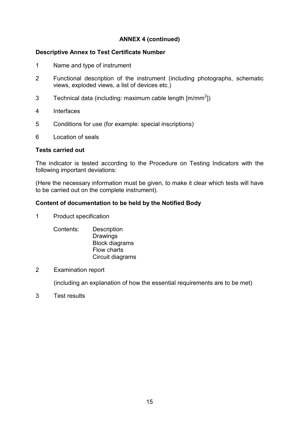### **ANNEX 4 (continued)**

#### **Descriptive Annex to Test Certificate Number**

- 1 Name and type of instrument
- 2 Functional description of the instrument (including photographs, schematic views, exploded views, a list of devices etc.)
- 3 Technical data (including: maximum cable length  $[m/mm^2]$ )
- 4 Interfaces
- 5 Conditions for use (for example: special inscriptions)
- 6 Location of seals

#### **Tests carried out**

The indicator is tested according to the Procedure on Testing Indicators with the following important deviations:

(Here the necessary information must be given, to make it clear which tests will have to be carried out on the complete instrument).

#### **Content of documentation to be held by the Notified Body**

1 Product specification

Contents: Description **Drawings** Block diagrams Flow charts Circuit diagrams

2 Examination report

(including an explanation of how the essential requirements are to be met)

3 Test results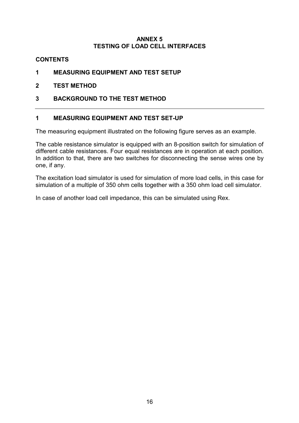#### **ANNEX 5 TESTING OF LOAD CELL INTERFACES**

### <span id="page-17-0"></span>**CONTENTS**

- **1 MEASURING EQUIPMENT AND TEST SETUP**
- **2 TEST METHOD**
- **3 BACKGROUND TO THE TEST METHOD**

### **1 MEASURING EQUIPMENT AND TEST SET-UP**

The measuring equipment illustrated on the following figure serves as an example.

The cable resistance simulator is equipped with an 8-position switch for simulation of different cable resistances. Four equal resistances are in operation at each position. In addition to that, there are two switches for disconnecting the sense wires one by one, if any.

The excitation load simulator is used for simulation of more load cells, in this case for simulation of a multiple of 350 ohm cells together with a 350 ohm load cell simulator.

In case of another load cell impedance, this can be simulated using Rex.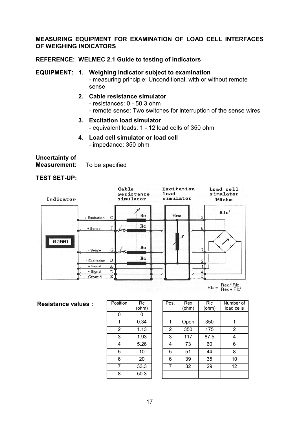#### **MEASURING EQUIPMENT FOR EXAMINATION OF LOAD CELL INTERFACES OF WEIGHING INDICATORS**

#### **REFERENCE: WELMEC 2.1 Guide to testing of indicators**

#### **EQUIPMENT: 1. Weighing indicator subject to examination**

- measuring principle: Unconditional, with or without remote sense

- **2. Cable resistance simulator**
	- resistances: 0 50.3 ohm
	- remote sense: Two switches for interruption of the sense wires
- **3. Excitation load simulator**
	- equivalent loads: 1 12 load cells of 350 ohm
- **4. Load cell simulator or load cell**
	- impedance: 350 ohm

## **Uncertainty of**

**Measurement:** To be specified

#### Cable Excitation Load cell resistance simulator **load** simulator Indicator simulator 350 ohm ガ R1c'  $R_{\rm c}$ Rex + Excitation  $\overline{C}$ R  $Re$  $\overline{\mathrm{F}}$ +Sense 6 00001  $Re$ - Sense G.  $\overline{\mathcal{L}}$  $Re$  $\, {\bf B}$ Excitation  $\overline{2}$ + Signal A Ľ - Signal  $\mathbf D$ 4 Ground  $\overline{E}$  $Rlc = \frac{Rex * Rlc'}{Rex + Rlc'}$

#### **Resistance values :**

| Position | Rc    |
|----------|-------|
|          | (ohm) |
| 0        | 0     |
| 1        | 0.34  |
| 2        | 1.13  |
| 3        | 1.93  |
| 4        | 5.26  |
| 5        | 10    |
| 6        | 20    |
| 7        | 33.3  |
| 8        | 50.3  |

| sition         | Rc<br>(ohm) | Pos. | Rex<br>(ohm) | <b>RIc</b><br>(ohm) | Number of<br>load cells |
|----------------|-------------|------|--------------|---------------------|-------------------------|
| 0              |             |      |              |                     |                         |
| 1              | 0.34        |      | Open         | 350                 |                         |
| $\overline{2}$ | 1.13        | 2    | 350          | 175                 | 2                       |
| 3              | 1.93        | 3    | 117          | 87.5                |                         |
| 4              | 5.26        | 4    | 73           | 60                  | 6                       |
| $\overline{5}$ | 10          | 5    | 51           | 44                  | 8                       |
| 6              | 20          | 6    | 39           | 35                  | 10                      |
| $\overline{7}$ | 33.3        | 7    | 32           | 29                  | 12                      |
| 8              | 50.3        |      |              |                     |                         |

## **TEST SET-UP:**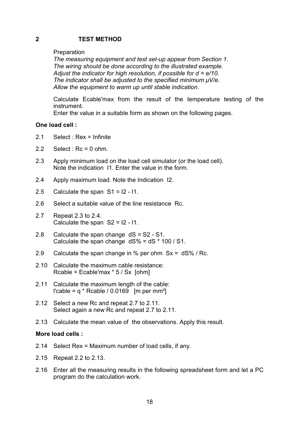#### **2 TEST METHOD**

#### Preparation

*The measuring equipment and test set-up appear from Section 1. The wiring should be done according to the illustrated example. Adjust the indicator for high resolution, if possible for d = e/10. The indicator shall be adjusted to the specified minimum µV/e. Allow the equipment to warm up until stable indication.*

Calculate Ecable'max from the result of the temperature testing of the instrument.

Enter the value in a suitable form as shown on the following pages.

#### **One load cell :**

- 2.1 Select : Rex = Infinite
- 2.2 Select :  $Rc = 0$  ohm.
- 2.3 Apply minimum load on the load cell simulator (or the load cell). Note the indication I1. Enter the value in the form.
- 2.4 Apply maximum load. Note the Indication I2.
- 2.5 Calculate the span  $S1 = 12 11$ .
- 2.6 Select a suitable value of the line resistance Rc.
- 2.7 Repeat 2.3 to 2.4. Calculate the span S2 = I2 - I1.
- 2.8 Calculate the span change dS = S2 S1. Calculate the span change  $dS\% = dS * 100 / S1$ .
- 2.9 Calculate the span change in % per ohm Sx = dS% / Rc.
- 2.10 Calculate the maximum cable resistance: Rcable = Ecable'max  $*$  5 / Sx [ohm]
- 2.11 Calculate the maximum length of the cable: l'cable =  $q *$  Rcable / 0.0169 [m per mm<sup>2</sup>]
- 2.12 Select a new Rc and repeat 2.7 to 2.11. Select again a new Rc and repeat 2.7 to 2.11.
- 2.13 Calculate the mean value of the observations. Apply this result.

#### **More load cells :**

- 2.14 Select Rex = Maximum number of load cells, if any.
- 2.15 Repeat 2.2 to 2.13.
- 2.16 Enter all the measuring results in the following spreadsheet form and let a PC program do the calculation work.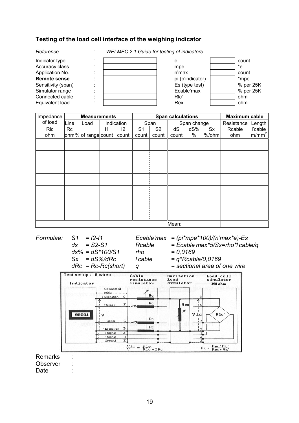#### **Testing of the load cell interface of the weighing indicator**

*Reference* : *WELMEC 2.1 Guide for testing of indicators*



| Impedance  |      | <b>Measurements</b>              |    |            |                |                | <b>Span calculations</b> |             |       | Maximum cable |                   |
|------------|------|----------------------------------|----|------------|----------------|----------------|--------------------------|-------------|-------|---------------|-------------------|
| of load    | Line | Load                             |    | Indication |                | Span           |                          | Span change |       | Resistance    | Length            |
| <b>RIC</b> | Rc   |                                  | 11 | 12         | S <sub>1</sub> | S <sub>2</sub> | dS                       | dS%         | Sx    | Rcable        | l'cable           |
| ohm        |      | ohm <sup>ol</sup> of range count |    | count      | count          | count          | count                    | $\%$        | %/ohm | ohm           | m/mm <sup>2</sup> |
|            |      |                                  |    |            |                |                |                          |             |       |               |                   |
|            |      |                                  |    |            |                |                |                          |             |       |               |                   |
|            |      |                                  |    |            |                |                |                          |             |       |               |                   |
|            |      |                                  |    |            |                |                |                          |             |       |               |                   |
|            |      |                                  |    |            |                |                |                          |             |       |               |                   |
|            |      |                                  |    |            |                |                |                          |             |       |               |                   |
|            |      |                                  |    |            |                |                |                          |             |       |               |                   |
|            |      |                                  |    |            |                |                |                          |             |       |               |                   |
|            |      |                                  |    |            |                |                |                          |             |       |               |                   |
|            |      |                                  |    |            |                |                |                          |             |       |               |                   |
|            |      |                                  |    |            |                |                |                          |             |       |               |                   |
|            |      |                                  |    |            |                |                |                          |             |       |               |                   |
|            |      |                                  |    |            |                |                |                          |             |       |               |                   |
| Mean:      |      |                                  |    |            |                |                |                          |             |       |               |                   |

*Formulae: S1 = I2-I1 Ecable'max = (pi\*mpe\*100)/(n'max\*e)-Es ds = S2-S1 Rcable = Ecable'max\*5/Sx=rho\*l'cable/q ds% = dS\*100/S1 rho = 0,0169*

*Sx = dS%/dRc l'cable = q\*Rcable/0,0169*

*dRc = Rc-Rc(short) q = sectional area of one wire*



Observer :

Date :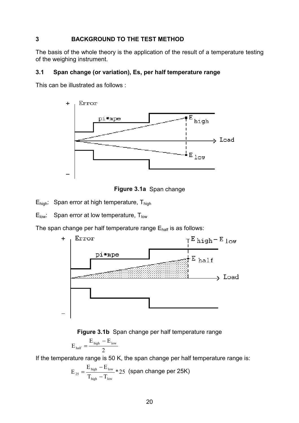### **3 BACKGROUND TO THE TEST METHOD**

The basis of the whole theory is the application of the result of a temperature testing of the weighing instrument.

#### **3.1 Span change (or variation), Es, per half temperature range**

This can be illustrated as follows :





 $E_{\text{high}}$ : Span error at high temperature,  $T_{\text{high}}$ 

 $E_{low}$ : Span error at low temperature,  $T_{low}$ 

The span change per half temperature range  $E_{half}$  is as follows:





$$
E_{\text{half}}=\frac{E_{\text{high}}-E_{\text{low}}}{2}
$$

If the temperature range is 50 K, the span change per half temperature range is:

$$
E_{25} = \frac{E_{\text{ high}} - E_{\text{ low}}}{T_{\text{ high}} - T_{\text{ low}}} * 25 \text{ (span change per 25K)}
$$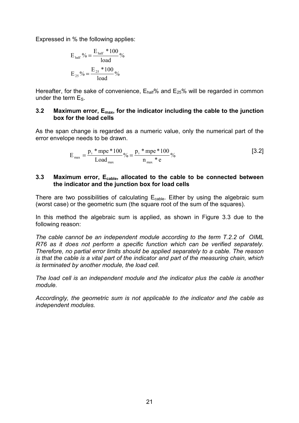Expressed in % the following applies:

$$
E_{\text{half}}\% = \frac{E_{\text{half}} * 100}{\text{load}}\%
$$

$$
E_{25}\% = \frac{E_{25} * 100}{\text{load}}\%
$$

Hereafter, for the sake of convenience,  $E_{\text{half}}%$  and  $E_{25}%$  will be regarded in common under the term  $E_S$ .

#### **3.2 Maximum error, Emax, for the indicator including the cable to the junction box for the load cells**

As the span change is regarded as a numeric value, only the numerical part of the error envelope needs to be drawn.

$$
E_{\max} = \frac{p_i * mpe * 100}{Load_{\max}} %_0 = \frac{p_i * mpe * 100}{n_{\max} * e} %_0 = \frac{p_i * mpe * 100}{n_{\max} * e}
$$
 [3.2]

#### **3.3 Maximum error, Ecable, allocated to the cable to be connected between the indicator and the junction box for load cells**

There are two possibilities of calculating  $E_{\text{cable}}$ . Either by using the algebraic sum (worst case) or the geometric sum (the square root of the sum of the squares).

In this method the algebraic sum is applied, as shown in Figure 3.3 due to the following reason:

*The cable cannot be an independent module according to the term T.2.2 of OIML R76 as it does not perform a specific function which can be verified separately. Therefore, no partial error limits should be applied separately to a cable. The reason is that the cable is a vital part of the indicator and part of the measuring chain, which is terminated by another module, the load cell.*

*The load cell is an independent module and the indicator plus the cable is another module.*

*Accordingly, the geometric sum is not applicable to the indicator and the cable as independent modules.*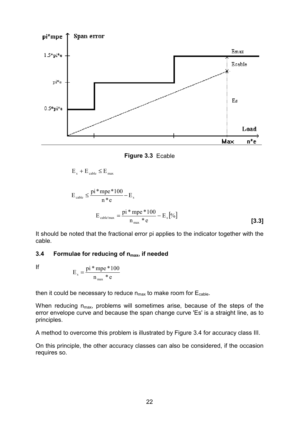

**Figure 3.3** Ecable

 $E_s + E_{\text{cable}} \leq E_{\text{max}}$ 

$$
E_{\text{cable}} \le \frac{\text{pi*mpe*100}}{\text{n*e}} - E_{\text{s}}
$$

$$
E_{\text{cable'max}} = \frac{\text{pi*mpe*100}}{\text{n}_{\text{max}} * \text{e}} - E_{\text{s}}[\%]
$$
 [3.3]

It should be noted that the fractional error pi applies to the indicator together with the cable.

#### **3.4 Formulae for reducing of n<sub>max</sub>, if needed**

If

$$
E_s = \frac{\text{pi} \cdot \text{mpe} \cdot 100}{n_{\text{max}} \cdot \text{e}}
$$

then it could be necessary to reduce  $n_{max}$  to make room for  $E_{\text{cable}}$ .

When reducing  $n_{max}$ , problems will sometimes arise, because of the steps of the error envelope curve and because the span change curve 'Es' is a straight line, as to principles.

A method to overcome this problem is illustrated by Figure 3.4 for accuracy class III.

On this principle, the other accuracy classes can also be considered, if the occasion requires so.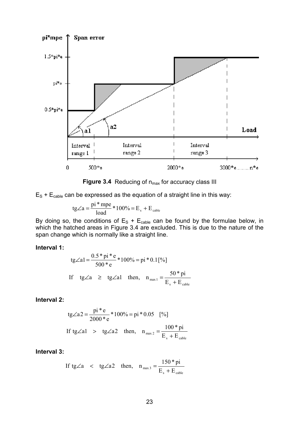

**Figure 3.4** Reducing of n<sub>max</sub> for accuracy class III

 $E_S + E_{\text{cable}}$  can be expressed as the equation of a straight line in this way:

$$
tg\angle a = \frac{pi * mpe}{load} * 100\% = E_s + E_{\text{cable}}
$$

By doing so, the conditions of  $\mathsf{E}_\text{S}$  +  $\mathsf{E}_\text{cable}$  can be found by the formulae below, in which the hatched areas in Figure 3.4 are excluded. This is due to the nature of the span change which is normally like a straight line.

#### **Interval 1:**

tg
$$
\angle a1 = \frac{0.5 \times pi \times e}{500 \times e} \times 100\% = pi \times 0.1[%]
$$
  
If tg $\angle a \ge$ tg $\angle a1$  then,  $n_{max1} = \frac{50 \times pi}{E_s + E_{cable}}$ 

#### **Interval 2:**

tg
$$
\angle a2 = \frac{pi^* e}{2000^* e} * 100\% = pi * 0.05
$$
 [%]  
If tg $\angle a1 > tg<2a2$  then,  $n_{max 2} = \frac{100 * pi}{E_s + E_{cable}}$ 

#### **Interval 3:**

If tg 
$$
\angle a
$$
 < tg  $\angle a2$  then,  $n_{max 3} = \frac{150 \cdot p i}{E_s + E_{cable}}$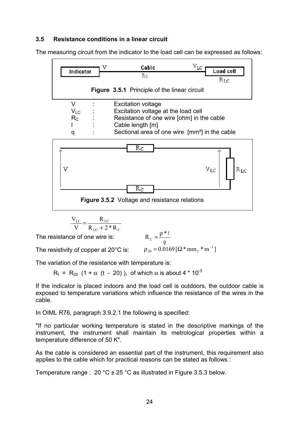### **3.5 Resistance conditions in a linear circuit**

The measuring circuit from the indicator to the load cell can be expressed as follows:



$$
\frac{V_{LC}}{V} = \frac{R_{LC}}{R_{LC} + 2 * R_{C}}
$$

The resistance of one wire is:

$$
R_c = \frac{\rho * I}{q}
$$
  
 
$$
\rho_{20} = 0.0169 [\Omega * mm_2 * m^{-1}]
$$

The resistivity of copper at 20°C is:

The variation of the resistance with temperature is:

 $R_t$  =  $R_{20}$  (1 +  $\alpha$  (t - 20)), of which  $\alpha$  is about 4  $*$  10<sup>-3</sup>

If the indicator is placed indoors and the load cell is outdoors, the outdoor cable is exposed to temperature variations which influence the resistance of the wires in the cable.

In OIML R76, paragraph 3.9.2.1 the following is specified:

"If no particular working temperature is stated in the descriptive markings of the instrument, the instrument shall maintain its metrological properties within a temperature difference of 50 K".

As the cable is considered an essential part of the instrument, this requirement also applies to the cable which for practical reasons can be stated as follows :

Temperature range :  $20 \degree C \pm 25 \degree C$  as illustrated in Figure 3.5.3 below.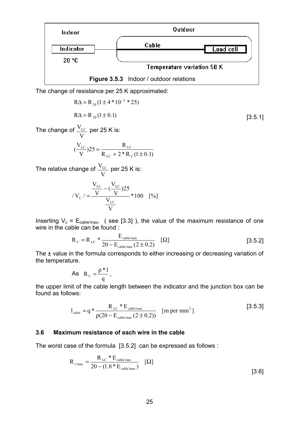

The change of resistance per 25 K approximated:

$$
R\Delta = R_{20} (1 \pm 4 \times 10^{-3} \times 25)
$$
  
\n
$$
R\Delta = R_{20} (1 \pm 0.1)
$$
  
\n[3.5.1]  
\n[3.5.1]

The change of V

$$
(\frac{V_{\rm LC}}{V})25 = \frac{R_{\rm LC}}{R_{\rm LC} + 2 * R_{\rm C} (1 \pm 0.1)}
$$

The relative change of  $\frac{v_{\text{LC}}}{v_{\text{LC}}}$  per 25 K is: V  $V_{LC}$ 

$$
V_{\rm C} = \frac{V_{\rm LC} - (V_{\rm LC})25}{V_{\rm LC}} \times 100 \quad [%]
$$

Inserting  $V_c = E_{cable'max}$ , (see [3.3]), the value of the maximum resistance of one wire in the cable can be found :

$$
R_C = R_{LC} * \frac{E_{\text{cable'max}}}{20 - E_{\text{cable'max}} (2 \pm 0.2)} \quad [\Omega]
$$
 [3.5.2]

The ± value in the formula corresponds to either increasing or decreasing variation of the temperature.

As 
$$
R_c = \frac{\rho * 1}{q}
$$
,

the upper limit of the cable length between the indicator and the junction box can be found as follows:

$$
l_{\text{cable}} = q * \frac{R_{\text{LC}} * E_{\text{cable'max}}}{\rho(20 - E_{\text{cable'max}} (2 \pm 0.2))}
$$
 [m per mm<sup>2</sup>] [3.5.3]

#### **3.6 Maximum resistance of each wire in the cable**

The worst case of the formula [3.5.2] can be expressed as follows :

$$
R_{c'max} = \frac{R_{LC} * E_{\text{cable'max}}}{20 - (1.8 * E_{\text{cable'max}})} \quad [\Omega]
$$
\n
$$
\tag{3.6}
$$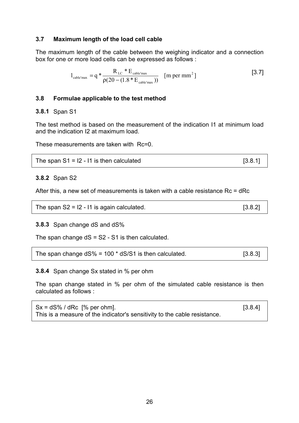#### **3.7 Maximum length of the load cell cable**

The maximum length of the cable between the weighing indicator and a connection box for one or more load cells can be expressed as follows :

$$
l_{\text{cable'max}} = q * \frac{R_{\text{LC}} * E_{\text{cable'max}}}{\rho(20 - (1.8 * E_{\text{cable'max}}))}
$$
 [m per mm<sup>2</sup>] [3.7]

#### **3.8 Formulae applicable to the test method**

#### **3.8.1** Span S1

The test method is based on the measurement of the indication I1 at minimum load and the indication I2 at maximum load.

These measurements are taken with Rc=0.

| The span $S1 = 12 - 11$ is then calculated | [3.8.1] |  |
|--------------------------------------------|---------|--|
|                                            |         |  |

#### **3.8.2** Span S2

After this, a new set of measurements is taken with a cable resistance Rc = dRc

| The span $S2 = 12 - 11$ is again calculated. | [3.8.2] |
|----------------------------------------------|---------|
|----------------------------------------------|---------|

**3.8.3** Span change dS and dS%

The span change  $dS = S2 - S1$  is then calculated.

|  | The span change $dS\% = 100 * dS/S1$ is then calculated. | [3.8.3] |  |
|--|----------------------------------------------------------|---------|--|
|--|----------------------------------------------------------|---------|--|

**3.8.4** Span change Sx stated in % per ohm

The span change stated in % per ohm of the simulated cable resistance is then calculated as follows :

 $Sx = dS\% / dRc$  [% per ohm]. [3.8.4] This is a measure of the indicator's sensitivity to the cable resistance.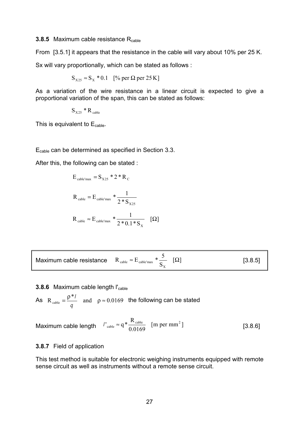#### **3.8.5** Maximum cable resistance R<sub>cable</sub>

From [3.5.1] it appears that the resistance in the cable will vary about 10% per 25 K.

Sx will vary proportionally, which can be stated as follows :

$$
S_{X25} \approx S_X * 0.1
$$
 [% per  $\Omega$  per 25 K]

As a variation of the wire resistance in a linear circuit is expected to give a proportional variation of the span, this can be stated as follows:

 $S_{X25} * R_{\text{ cable}}$ 

This is equivalent to  $E_{\text{cable}}$ .

Ecable can be determined as specified in Section 3.3.

After this, the following can be stated :

$$
E_{\text{cable'max}} = S_{X25} * 2 * R_{C}
$$
  

$$
R_{\text{cable}} = E_{\text{cable'max}} * \frac{1}{2 * S_{X25}}
$$
  

$$
R_{\text{cable}} \approx E_{\text{cable'max}} * \frac{1}{2 * 0.1 * S_{X}} \quad [\Omega]
$$

|  | Maximum cable resistance $R_{\text{cable}} \approx E_{\text{cable'max}} * \frac{3}{S}$ [ $\Omega$ ] | [3.8.5] |
|--|-----------------------------------------------------------------------------------------------------|---------|
|--|-----------------------------------------------------------------------------------------------------|---------|

#### **3.8.6** Maximum cable length l'<sub>cable</sub>

As 
$$
R_{\text{cable}} = \frac{\rho^* l}{q}
$$
 and  $\rho \approx 0.0169$  the following can be stated

Maximum cable length  $I_{\text{cable}} \approx q * \frac{R_{\text{cable}}}{0.0169}$  [m per mm<sup>2</sup>] [3.8.6]  $l'_{\text{cable}} \approx q * \frac{R_{\text{cable}}}{0.0160}$  [m per mm<sup>2</sup>

#### **3.8.7** Field of application

This test method is suitable for electronic weighing instruments equipped with remote sense circuit as well as instruments without a remote sense circuit.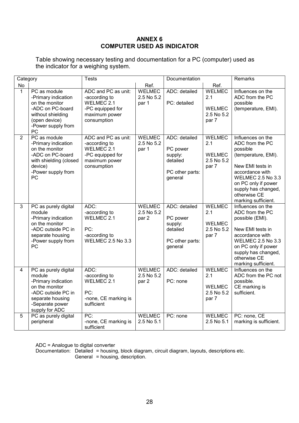#### **ANNEX 6 COMPUTER USED AS INDICATOR**

<span id="page-29-0"></span>Table showing necessary testing and documentation for a PC (computer) used as the indicator for a weighing system.

| Category       |                                                                                                                                                        | <b>Tests</b>                                                                                           |                                      | Documentation                                                                  |                                                              | <b>Remarks</b>                                                                                                                                                                                                                  |
|----------------|--------------------------------------------------------------------------------------------------------------------------------------------------------|--------------------------------------------------------------------------------------------------------|--------------------------------------|--------------------------------------------------------------------------------|--------------------------------------------------------------|---------------------------------------------------------------------------------------------------------------------------------------------------------------------------------------------------------------------------------|
| <b>No</b>      |                                                                                                                                                        |                                                                                                        | Ref.                                 |                                                                                | Ref.                                                         |                                                                                                                                                                                                                                 |
| $\mathbf{1}$   | PC as module<br>-Primary indication<br>on the monitor<br>-ADC on PC-board<br>without shielding<br>(open device)<br>-Power supply from<br>PC            | ADC and PC as unit:<br>-according to<br>WELMEC 2.1<br>-PC equipped for<br>maximum power<br>consumption | <b>WELMEC</b><br>2.5 No 5.2<br>par 1 | ADC: detailed<br>PC: detailed                                                  | <b>WELMEC</b><br>2.1<br><b>WELMEC</b><br>2.5 No 5.2<br>par 7 | Influences on the<br>ADC from the PC<br>possible<br>(temperature, EMI).                                                                                                                                                         |
| $\overline{2}$ | PC as module<br>-Primary indication<br>on the monitor<br>-ADC on PC-board<br>with shielding (closed<br>device)<br>-Power supply from<br>PC             | ADC and PC as unit:<br>-according to<br>WELMEC 2.1<br>-PC equipped for<br>maximum power<br>consumption | <b>WELMEC</b><br>2.5 No 5.2<br>par 1 | ADC: detailed<br>PC power<br>supply:<br>detailed<br>PC other parts:<br>general | <b>WELMEC</b><br>2.1<br><b>WELMEC</b><br>2.5 No 5.2<br>par 7 | Influences on the<br>ADC from the PC<br>possible<br>(temperature, EMI).<br>New EMI tests in<br>accordance with<br><b>WELMEC 2.5 No 3.3</b><br>on PC only if power<br>supply has changed,<br>otherwise CE<br>marking sufficient. |
| $\overline{3}$ | PC as purely digital<br>module<br>-Primary indication<br>on the monitor<br>-ADC outside PC in<br>separate housing<br>-Power supply from<br>PC          | ADC:<br>-according to<br>WELMEC 2.1<br>PC:<br>-according to<br><b>WELMEC 2.5 No 3.3</b>                | <b>WELMEC</b><br>2.5 No 5.2<br>par 2 | ADC: detailed<br>PC power<br>supply:<br>detailed<br>PC other parts:<br>general | <b>WELMEC</b><br>2.1<br><b>WELMEC</b><br>2.5 No 5.2<br>par 7 | Influences on the<br>ADC from the PC<br>possible (EMI).<br>New EMI tests in<br>accordance with<br><b>WELMEC 2.5 No 3.3</b><br>on PC only if power<br>supply has changed,<br>otherwise CE<br>marking sufficient.                 |
| $\overline{4}$ | PC as purely digital<br>module<br>-Primary indication<br>on the monitor<br>-ADC outside PC in<br>separate housing<br>-Separate power<br>supply for ADC | ADC:<br>-according to<br>WELMEC 2.1<br>PC:<br>-none, CE marking is<br>sufficient                       | <b>WELMEC</b><br>2.5 No 5.2<br>par 2 | ADC: detailed<br>PC: none                                                      | <b>WELMEC</b><br>2.1<br><b>WELMEC</b><br>2.5 No 5.2<br>par 7 | Influences on the<br>ADC from the PC not<br>possible.<br>CE marking is<br>sufficient.                                                                                                                                           |
| 5              | PC as purely digital<br>peripheral                                                                                                                     | $\overline{PC:}$<br>-none, CE marking is<br>sufficient                                                 | <b>WELMEC</b><br>2.5 No 5.1          | PC: none                                                                       | <b>WELMEC</b><br>2.5 No 5.1                                  | PC: none, CE<br>marking is sufficient.                                                                                                                                                                                          |

ADC = Analogue to digital converter

Documentation: Detailed = housing, block diagram, circuit diagram, layouts, descriptions etc. General = housing, description.